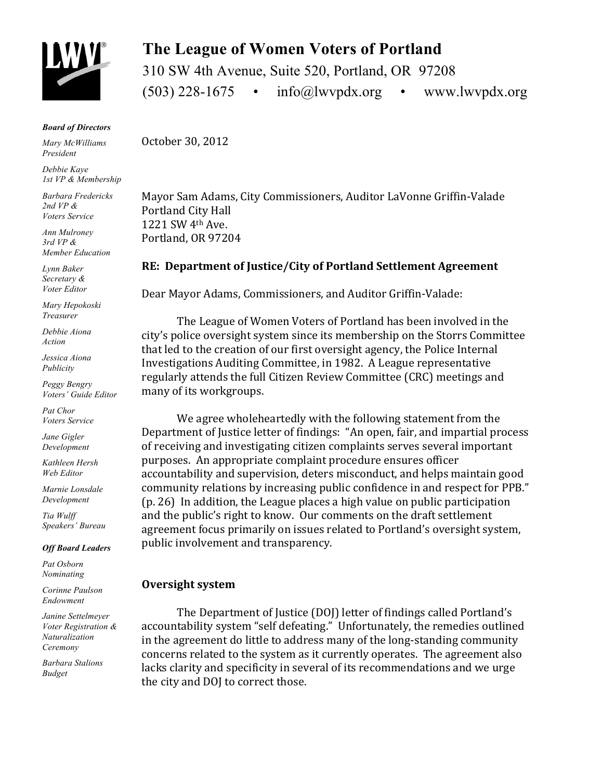

*Board of Directors*

*Mary McWilliams President*

*Debbie Kaye 1st VP & Membership*

*Barbara Fredericks 2nd VP & Voters Service*

*Ann Mulroney 3rd VP & Member Education*

*Lynn Baker Secretary & Voter Editor*

*Mary Hepokoski Treasurer*

*Debbie Aiona Action*

*Jessica Aiona Publicity*

*Peggy Bengry Voters' Guide Editor*

*Pat Chor Voters Service*

*Jane Gigler Development*

*Kathleen Hersh Web Editor*

*Marnie Lonsdale Development*

*Tia Wulff Speakers' Bureau*

*Off Board Leaders*

*Pat Osborn Nominating* 

*Corinne Paulson Endowment* 

*Janine Settelmeyer Voter Registration & Naturalization Ceremony*

*Barbara Stalions Budget*

# **The League of Women Voters of Portland**

310 SW 4th Avenue, Suite 520, Portland, OR 97208  $(503)$  228-1675 •  $info@lwypdx.org$  • www.lwvpdx.org

October 30, 2012

Mayor Sam Adams, City Commissioners, Auditor LaVonne Griffin-Valade Portland City Hall 1221 SW 4th Ave. Portland, OR 97204

# **RE: Department of Justice/City of Portland Settlement Agreement**

Dear Mayor Adams, Commissioners, and Auditor Griffin-Valade:

The League of Women Voters of Portland has been involved in the city's police oversight system since its membership on the Storrs Committee that led to the creation of our first oversight agency, the Police Internal Investigations Auditing Committee, in 1982. A League representative regularly attends the full Citizen Review Committee (CRC) meetings and many of its workgroups.

We agree wholeheartedly with the following statement from the Department of Justice letter of findings: "An open, fair, and impartial process of receiving and investigating citizen complaints serves several important purposes. An appropriate complaint procedure ensures officer accountability and supervision, deters misconduct, and helps maintain good community relations by increasing public confidence in and respect for PPB."  $(p. 26)$  In addition, the League places a high value on public participation and the public's right to know. Our comments on the draft settlement agreement focus primarily on issues related to Portland's oversight system, public involvement and transparency.

# **Oversight** system

The Department of Justice (DOJ) letter of findings called Portland's accountability system "self defeating." Unfortunately, the remedies outlined in the agreement do little to address many of the long-standing community concerns related to the system as it currently operates. The agreement also lacks clarity and specificity in several of its recommendations and we urge the city and DOJ to correct those.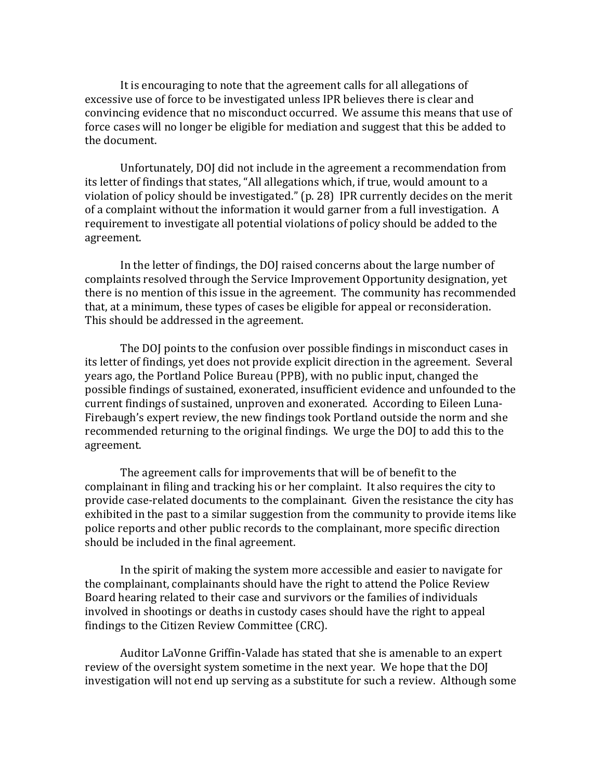It is encouraging to note that the agreement calls for all allegations of excessive use of force to be investigated unless IPR believes there is clear and convincing evidence that no misconduct occurred. We assume this means that use of force cases will no longer be eligible for mediation and suggest that this be added to the document.

Unfortunately, DOJ did not include in the agreement a recommendation from its letter of findings that states, "All allegations which, if true, would amount to a violation of policy should be investigated."  $(p. 28)$  IPR currently decides on the merit of a complaint without the information it would garner from a full investigation. A requirement to investigate all potential violations of policy should be added to the agreement. 

In the letter of findings, the DOJ raised concerns about the large number of complaints resolved through the Service Improvement Opportunity designation, yet there is no mention of this issue in the agreement. The community has recommended that, at a minimum, these types of cases be eligible for appeal or reconsideration. This should be addressed in the agreement.

The DOI points to the confusion over possible findings in misconduct cases in its letter of findings, yet does not provide explicit direction in the agreement. Several years ago, the Portland Police Bureau (PPB), with no public input, changed the possible findings of sustained, exonerated, insufficient evidence and unfounded to the current findings of sustained, unproven and exonerated. According to Eileen Luna-Firebaugh's expert review, the new findings took Portland outside the norm and she recommended returning to the original findings. We urge the DOJ to add this to the agreement. 

The agreement calls for improvements that will be of benefit to the complainant in filing and tracking his or her complaint. It also requires the city to provide case-related documents to the complainant. Given the resistance the city has exhibited in the past to a similar suggestion from the community to provide items like police reports and other public records to the complainant, more specific direction should be included in the final agreement.

In the spirit of making the system more accessible and easier to navigate for the complainant, complainants should have the right to attend the Police Review Board hearing related to their case and survivors or the families of individuals involved in shootings or deaths in custody cases should have the right to appeal findings to the Citizen Review Committee (CRC).

Auditor LaVonne Griffin-Valade has stated that she is amenable to an expert review of the oversight system sometime in the next year. We hope that the DOJ investigation will not end up serving as a substitute for such a review. Although some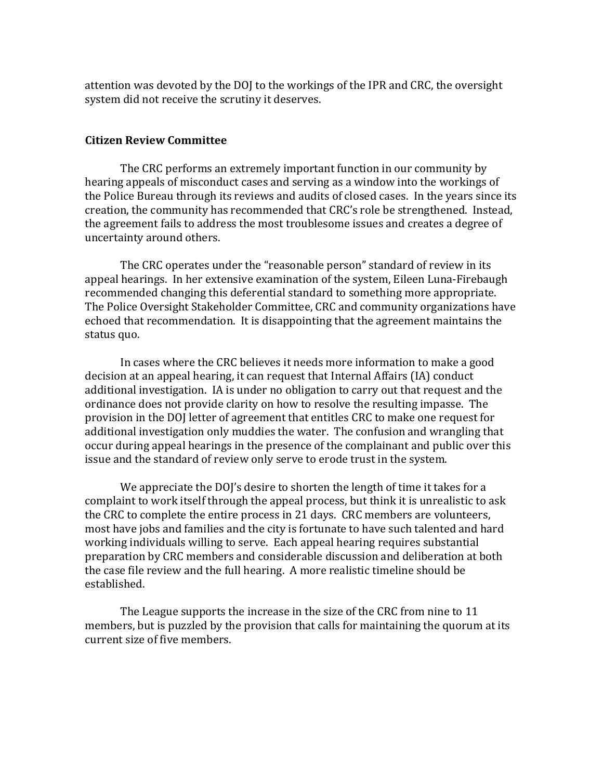attention was devoted by the DOJ to the workings of the IPR and CRC, the oversight system did not receive the scrutiny it deserves.

## **Citizen Review Committee**

The CRC performs an extremely important function in our community by hearing appeals of misconduct cases and serving as a window into the workings of the Police Bureau through its reviews and audits of closed cases. In the years since its creation, the community has recommended that CRC's role be strengthened. Instead, the agreement fails to address the most troublesome issues and creates a degree of uncertainty around others.

The CRC operates under the "reasonable person" standard of review in its appeal hearings. In her extensive examination of the system, Eileen Luna-Firebaugh recommended changing this deferential standard to something more appropriate. The Police Oversight Stakeholder Committee, CRC and community organizations have echoed that recommendation. It is disappointing that the agreement maintains the status quo.

In cases where the CRC believes it needs more information to make a good decision at an appeal hearing, it can request that Internal Affairs (IA) conduct additional investigation. IA is under no obligation to carry out that request and the ordinance does not provide clarity on how to resolve the resulting impasse. The provision in the DOJ letter of agreement that entitles CRC to make one request for additional investigation only muddies the water. The confusion and wrangling that occur during appeal hearings in the presence of the complainant and public over this issue and the standard of review only serve to erode trust in the system.

We appreciate the DOJ's desire to shorten the length of time it takes for a complaint to work itself through the appeal process, but think it is unrealistic to ask the CRC to complete the entire process in 21 days. CRC members are volunteers, most have jobs and families and the city is fortunate to have such talented and hard working individuals willing to serve. Each appeal hearing requires substantial preparation by CRC members and considerable discussion and deliberation at both the case file review and the full hearing. A more realistic timeline should be established. 

The League supports the increase in the size of the CRC from nine to 11 members, but is puzzled by the provision that calls for maintaining the quorum at its current size of five members.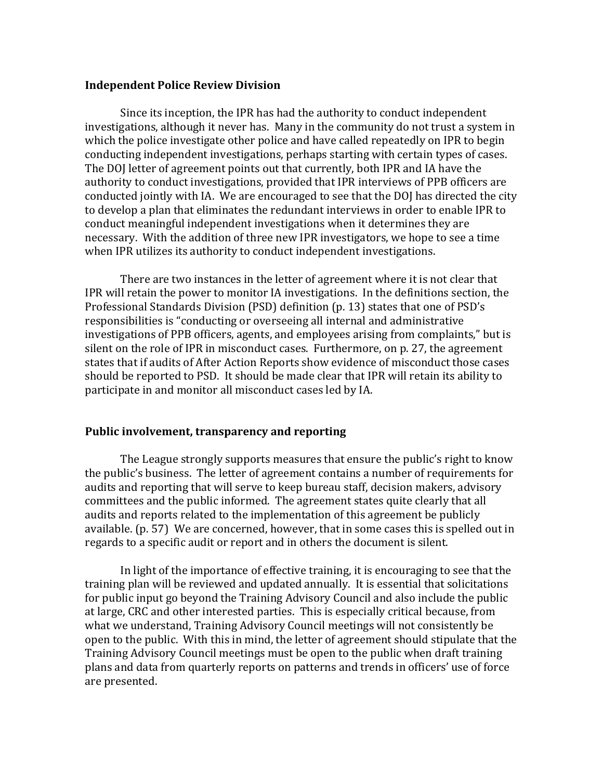#### **Independent Police Review Division**

Since its inception, the IPR has had the authority to conduct independent investigations, although it never has. Many in the community do not trust a system in which the police investigate other police and have called repeatedly on IPR to begin conducting independent investigations, perhaps starting with certain types of cases. The DOJ letter of agreement points out that currently, both IPR and IA have the authority to conduct investigations, provided that IPR interviews of PPB officers are conducted jointly with IA. We are encouraged to see that the DOJ has directed the city to develop a plan that eliminates the redundant interviews in order to enable IPR to conduct meaningful independent investigations when it determines they are necessary. With the addition of three new IPR investigators, we hope to see a time when IPR utilizes its authority to conduct independent investigations.

There are two instances in the letter of agreement where it is not clear that IPR will retain the power to monitor IA investigations. In the definitions section, the Professional Standards Division (PSD) definition (p. 13) states that one of PSD's responsibilities is "conducting or overseeing all internal and administrative investigations of PPB officers, agents, and employees arising from complaints," but is silent on the role of IPR in misconduct cases. Furthermore, on p. 27, the agreement states that if audits of After Action Reports show evidence of misconduct those cases should be reported to PSD. It should be made clear that IPR will retain its ability to participate in and monitor all misconduct cases led by IA.

#### Public involvement, transparency and reporting

The League strongly supports measures that ensure the public's right to know the public's business. The letter of agreement contains a number of requirements for audits and reporting that will serve to keep bureau staff, decision makers, advisory committees and the public informed. The agreement states quite clearly that all audits and reports related to the implementation of this agreement be publicly available.  $(p. 57)$  We are concerned, however, that in some cases this is spelled out in regards to a specific audit or report and in others the document is silent.

In light of the importance of effective training, it is encouraging to see that the training plan will be reviewed and updated annually. It is essential that solicitations for public input go beyond the Training Advisory Council and also include the public at large, CRC and other interested parties. This is especially critical because, from what we understand, Training Advisory Council meetings will not consistently be open to the public. With this in mind, the letter of agreement should stipulate that the Training Advisory Council meetings must be open to the public when draft training plans and data from quarterly reports on patterns and trends in officers' use of force are presented.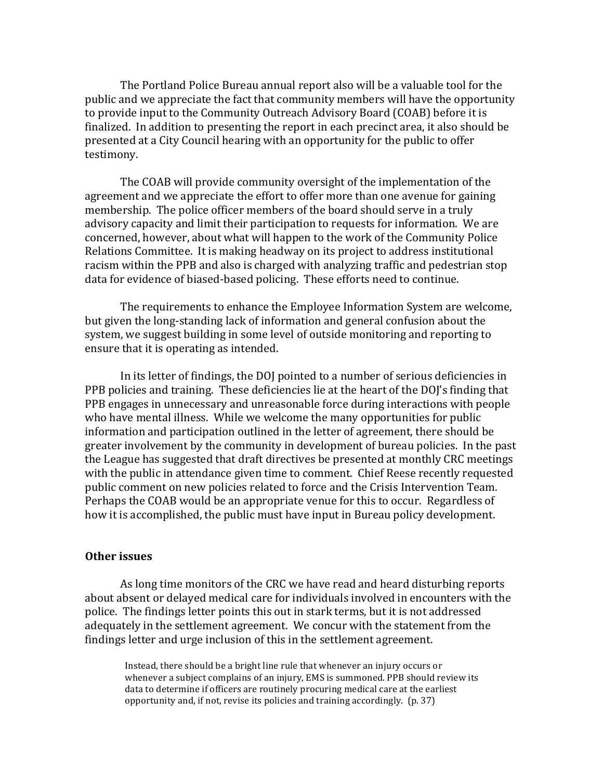The Portland Police Bureau annual report also will be a valuable tool for the public and we appreciate the fact that community members will have the opportunity to provide input to the Community Outreach Advisory Board (COAB) before it is finalized. In addition to presenting the report in each precinct area, it also should be presented at a City Council hearing with an opportunity for the public to offer testimony. 

The COAB will provide community oversight of the implementation of the agreement and we appreciate the effort to offer more than one avenue for gaining membership. The police officer members of the board should serve in a truly advisory capacity and limit their participation to requests for information. We are concerned, however, about what will happen to the work of the Community Police Relations Committee. It is making headway on its project to address institutional racism within the PPB and also is charged with analyzing traffic and pedestrian stop data for evidence of biased-based policing. These efforts need to continue.

The requirements to enhance the Employee Information System are welcome, but given the long-standing lack of information and general confusion about the system, we suggest building in some level of outside monitoring and reporting to ensure that it is operating as intended.

In its letter of findings, the DOJ pointed to a number of serious deficiencies in PPB policies and training. These deficiencies lie at the heart of the DOJ's finding that PPB engages in unnecessary and unreasonable force during interactions with people who have mental illness. While we welcome the many opportunities for public information and participation outlined in the letter of agreement, there should be greater involvement by the community in development of bureau policies. In the past the League has suggested that draft directives be presented at monthly CRC meetings with the public in attendance given time to comment. Chief Reese recently requested public comment on new policies related to force and the Crisis Intervention Team. Perhaps the COAB would be an appropriate venue for this to occur. Regardless of how it is accomplished, the public must have input in Bureau policy development.

#### **Other issues**

As long time monitors of the CRC we have read and heard disturbing reports about absent or delayed medical care for individuals involved in encounters with the police. The findings letter points this out in stark terms, but it is not addressed adequately in the settlement agreement. We concur with the statement from the findings letter and urge inclusion of this in the settlement agreement.

Instead, there should be a bright line rule that whenever an injury occurs or whenever a subject complains of an injury, EMS is summoned. PPB should review its data to determine if officers are routinely procuring medical care at the earliest opportunity and, if not, revise its policies and training accordingly. (p. 37)